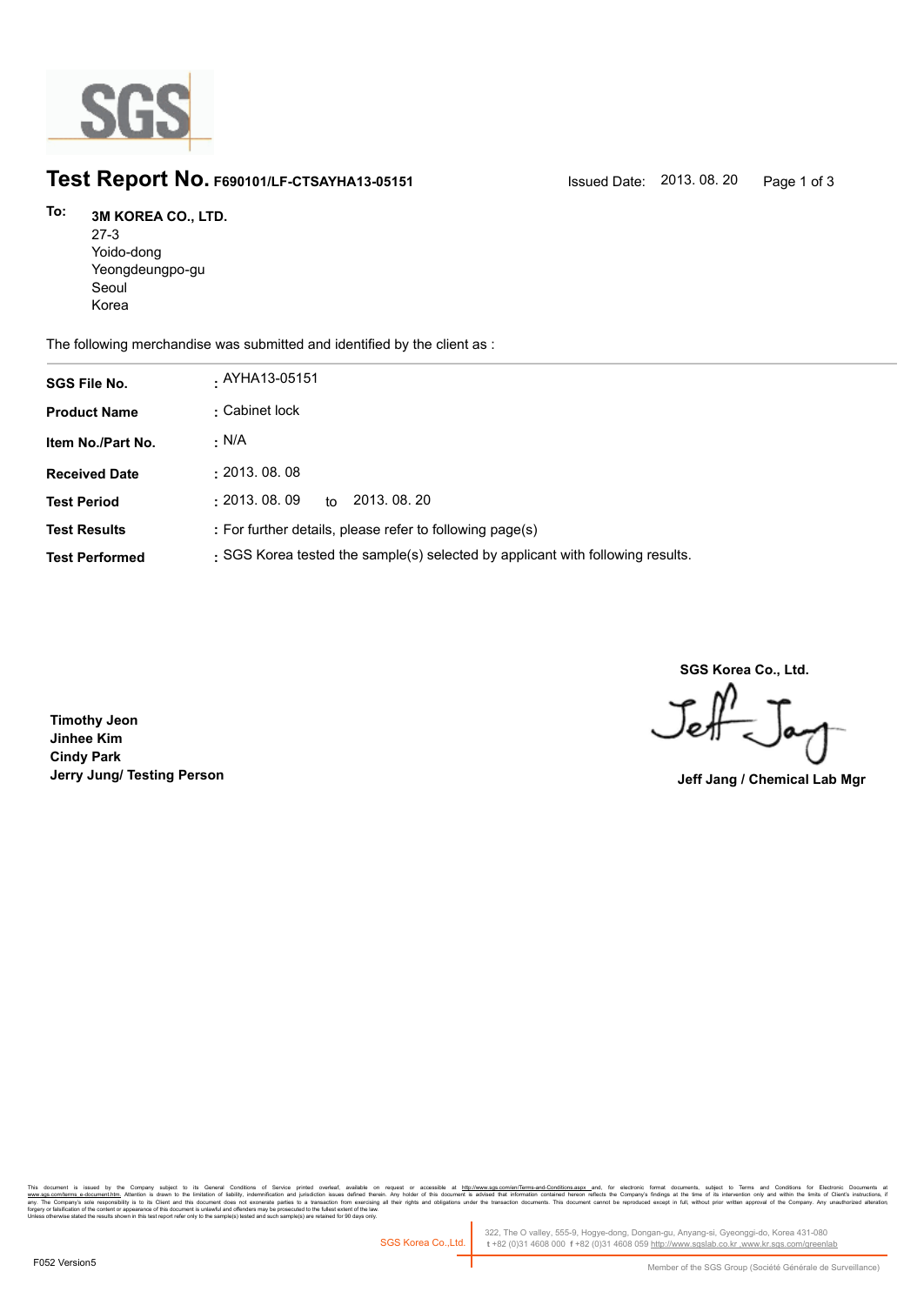

## **Test Report No. F690101/LF-CTSAYHA13-05151** Issued Date: 2013. 08. 20 Page 1 of 3

## **3M KOREA CO., LTD. To:**

27-3 Yoido-dong Yeongdeungpo-gu Seoul Korea

The following merchandise was submitted and identified by the client as :

| <b>SGS File No.</b>   | . AYHA13-05151                                                                 |
|-----------------------|--------------------------------------------------------------------------------|
| <b>Product Name</b>   | : Cabinet lock                                                                 |
| Item No./Part No.     | . N/A                                                                          |
| <b>Received Date</b>  | : 2013.08.08                                                                   |
| <b>Test Period</b>    | : 2013.08.09<br>2013, 08, 20<br>to                                             |
| <b>Test Results</b>   | : For further details, please refer to following page(s)                       |
| <b>Test Performed</b> | : SGS Korea tested the sample(s) selected by applicant with following results. |

**SGS Korea Co., Ltd.**

Jeff

**Timothy Jeon Jinhee Kim Cindy Park Jerry Jung/ Testing Person Jeff Jang / Chemical Lab Mgr**

, company sugna, as cerain consmons or servor pnme overa, available that the metally interest and the metally independent of the document is advised that information contained hereon reflects the company's findings at the forgery or falsification of the content or appearance of this document is unlawful and offenders may be prosecuted to the fullest extent of the law.<br>Unless otherwise stated the results shown in this test report refer only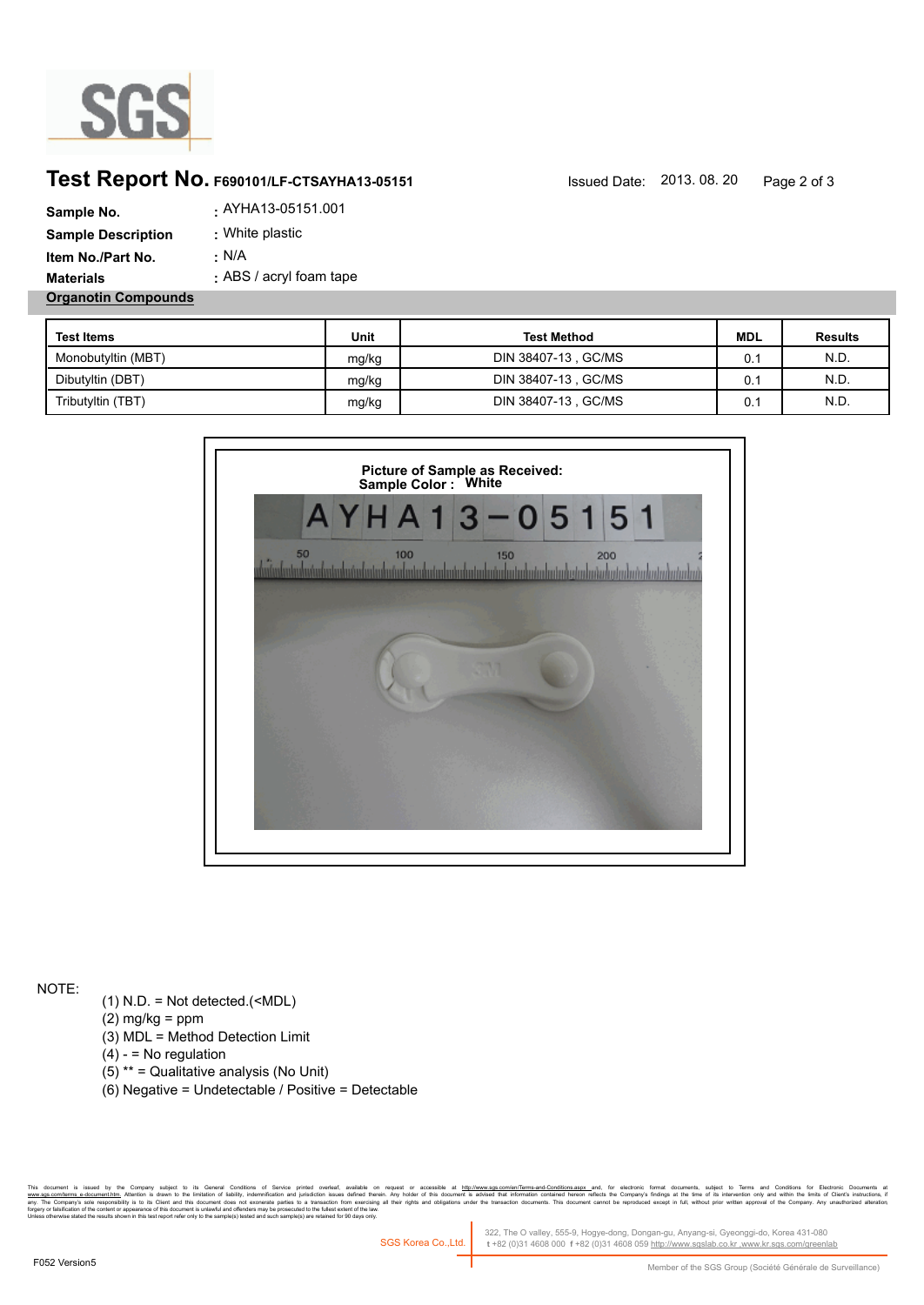

## **Test Report No. F690101/LF-CTSAYHA13-05151** Issued Date: 2013. 08. 20 Page 2 of 3

| Sample No.                 | . AYHA13-05151.001      |
|----------------------------|-------------------------|
| <b>Sample Description</b>  | : White plastic         |
| Item No./Part No.          | ∴ N/A                   |
| <b>Materials</b>           | : ABS / acryl foam tape |
| <b>Organotin Compounds</b> |                         |

| <b>Test Items</b>  | Unit  | <b>Test Method</b>   | <b>MDL</b> | <b>Results</b> |
|--------------------|-------|----------------------|------------|----------------|
| Monobutyltin (MBT) | mg/kg | DIN 38407-13 , GC/MS | 0.1        | N.D.           |
| Dibutyltin (DBT)   | mg/kg | DIN 38407-13 , GC/MS | 0.1        | N.D.           |
| Tributyltin (TBT)  | mg/kg | DIN 38407-13, GC/MS  | 0.1        | N.D.           |



NOTE:

- (1) N.D. = Not detected.(<MDL)
- $(2)$  mg/kg = ppm
- (3) MDL = Method Detection Limit
- $(4) -$  = No regulation
- (5) \*\* = Qualitative analysis (No Unit)
- (6) Negative = Undetectable / Positive = Detectable

. Company supect to its deneal Conding on the over punted overalt, any also the method of the method of the conssulted method in th<u>e method waves comperients asponented benevated that when the</u> companys indings at the tim forgery or falsification of the content or appearance of this document is unlawful and offenders may be prosecuted to the fullest extent of the law.<br>Unless otherwise stated the results shown in this test report refer only